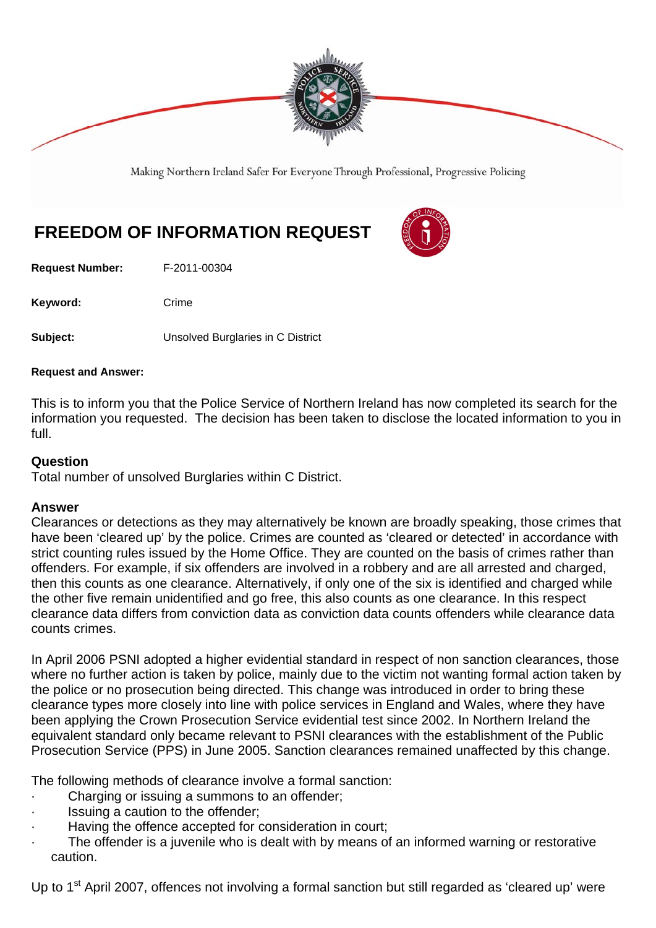

Making Northern Ireland Safer For Everyone Through Professional, Progressive Policing

## **FREEDOM OF INFORMATION REQUEST**

**Request Number:** F-2011-00304

Keyword: Crime

**Subject:** Unsolved Burglaries in C District

## **Request and Answer:**

This is to inform you that the Police Service of Northern Ireland has now completed its search for the information you requested. The decision has been taken to disclose the located information to you in full.

## **Question**

Total number of unsolved Burglaries within C District.

## **Answer**

Clearances or detections as they may alternatively be known are broadly speaking, those crimes that have been 'cleared up' by the police. Crimes are counted as 'cleared or detected' in accordance with strict counting rules issued by the Home Office. They are counted on the basis of crimes rather than offenders. For example, if six offenders are involved in a robbery and are all arrested and charged, then this counts as one clearance. Alternatively, if only one of the six is identified and charged while the other five remain unidentified and go free, this also counts as one clearance. In this respect clearance data differs from conviction data as conviction data counts offenders while clearance data counts crimes.

In April 2006 PSNI adopted a higher evidential standard in respect of non sanction clearances, those where no further action is taken by police, mainly due to the victim not wanting formal action taken by the police or no prosecution being directed. This change was introduced in order to bring these clearance types more closely into line with police services in England and Wales, where they have been applying the Crown Prosecution Service evidential test since 2002. In Northern Ireland the equivalent standard only became relevant to PSNI clearances with the establishment of the Public Prosecution Service (PPS) in June 2005. Sanction clearances remained unaffected by this change.

The following methods of clearance involve a formal sanction:

- Charging or issuing a summons to an offender;
- Issuing a caution to the offender:
- Having the offence accepted for consideration in court;
- The offender is a juvenile who is dealt with by means of an informed warning or restorative caution.

Up to 1<sup>st</sup> April 2007, offences not involving a formal sanction but still regarded as 'cleared up' were